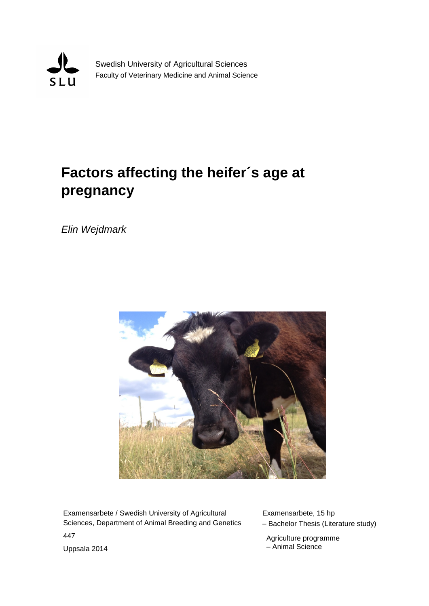

Swedish University of Agricultural Sciences Faculty of Veterinary Medicine and Animal Science

# **Factors affecting the heifer´s age at pregnancy**

*Elin Wejdmark*



Examensarbete / Swedish University of Agricultural Sciences, Department of Animal Breeding and Genetics 447

Examensarbete, 15 hp – Bachelor Thesis (Literature study)

 Agriculture programme – Animal Science

Uppsala 2014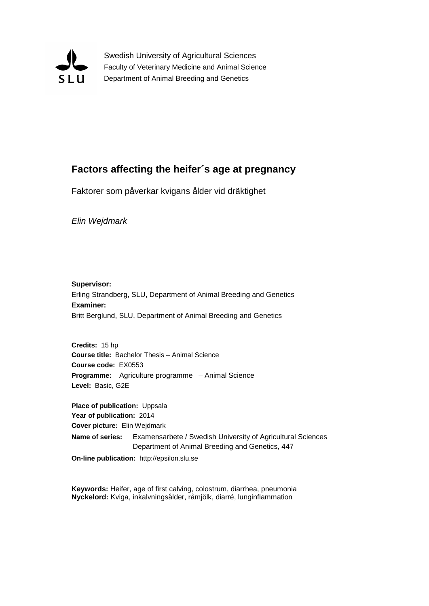

Swedish University of Agricultural Sciences Faculty of Veterinary Medicine and Animal Science Department of Animal Breeding and Genetics

# **Factors affecting the heifer´s age at pregnancy**

Faktorer som påverkar kvigans ålder vid dräktighet

*Elin Wejdmark*

**Supervisor:** Erling Strandberg, SLU, Department of Animal Breeding and Genetics **Examiner:** Britt Berglund, SLU, Department of Animal Breeding and Genetics

**Credits:** 15 hp **Course title:** Bachelor Thesis – Animal Science **Course code:** EX0553 **Programme:** Agriculture programme – Animal Science **Level:** Basic, G2E

**Place of publication:** Uppsala **Year of publication:** 2014 **Cover picture:** Elin Wejdmark **Name of series:** Examensarbete / Swedish University of Agricultural Sciences Department of Animal Breeding and Genetics, 447 **On-line publication:** http://epsilon.slu.se

**Keywords:** Heifer, age of first calving, colostrum, diarrhea, pneumonia **Nyckelord:** Kviga, inkalvningsålder, råmjölk, diarré, lunginflammation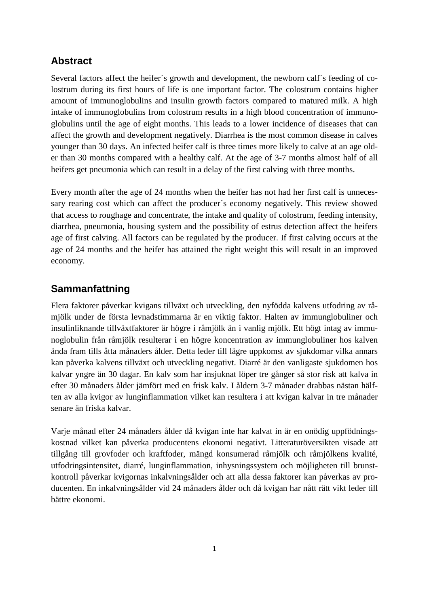# **Abstract**

Several factors affect the heifer´s growth and development, the newborn calf´s feeding of colostrum during its first hours of life is one important factor. The colostrum contains higher amount of immunoglobulins and insulin growth factors compared to matured milk. A high intake of immunoglobulins from colostrum results in a high blood concentration of immunoglobulins until the age of eight months. This leads to a lower incidence of diseases that can affect the growth and development negatively. Diarrhea is the most common disease in calves younger than 30 days. An infected heifer calf is three times more likely to calve at an age older than 30 months compared with a healthy calf. At the age of 3-7 months almost half of all heifers get pneumonia which can result in a delay of the first calving with three months.

Every month after the age of 24 months when the heifer has not had her first calf is unnecessary rearing cost which can affect the producer´s economy negatively. This review showed that access to roughage and concentrate, the intake and quality of colostrum, feeding intensity, diarrhea, pneumonia, housing system and the possibility of estrus detection affect the heifers age of first calving. All factors can be regulated by the producer. If first calving occurs at the age of 24 months and the heifer has attained the right weight this will result in an improved economy.

# **Sammanfattning**

Flera faktorer påverkar kvigans tillväxt och utveckling, den nyfödda kalvens utfodring av råmjölk under de första levnadstimmarna är en viktig faktor. Halten av immunglobuliner och insulinliknande tillväxtfaktorer är högre i råmjölk än i vanlig mjölk. Ett högt intag av immunoglobulin från råmjölk resulterar i en högre koncentration av immunglobuliner hos kalven ända fram tills åtta månaders ålder. Detta leder till lägre uppkomst av sjukdomar vilka annars kan påverka kalvens tillväxt och utveckling negativt. Diarré är den vanligaste sjukdomen hos kalvar yngre än 30 dagar. En kalv som har insjuknat löper tre gånger så stor risk att kalva in efter 30 månaders ålder jämfört med en frisk kalv. I åldern 3-7 månader drabbas nästan hälften av alla kvigor av lunginflammation vilket kan resultera i att kvigan kalvar in tre månader senare än friska kalvar.

Varje månad efter 24 månaders ålder då kvigan inte har kalvat in är en onödig uppfödningskostnad vilket kan påverka producentens ekonomi negativt. Litteraturöversikten visade att tillgång till grovfoder och kraftfoder, mängd konsumerad råmjölk och råmjölkens kvalité, utfodringsintensitet, diarré, lunginflammation, inhysningssystem och möjligheten till brunstkontroll påverkar kvigornas inkalvningsålder och att alla dessa faktorer kan påverkas av producenten. En inkalvningsålder vid 24 månaders ålder och då kvigan har nått rätt vikt leder till bättre ekonomi.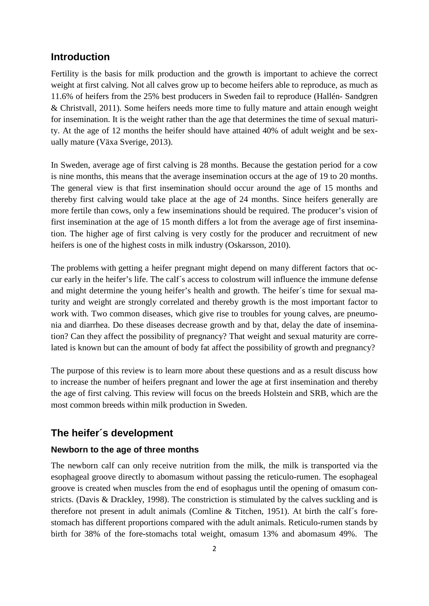# **Introduction**

Fertility is the basis for milk production and the growth is important to achieve the correct weight at first calving. Not all calves grow up to become heifers able to reproduce, as much as 11.6% of heifers from the 25% best producers in Sweden fail to reproduce (Hallén- Sandgren & Christvall, 2011). Some heifers needs more time to fully mature and attain enough weight for insemination. It is the weight rather than the age that determines the time of sexual maturity. At the age of 12 months the heifer should have attained 40% of adult weight and be sexually mature (Växa Sverige, 2013).

In Sweden, average age of first calving is 28 months. Because the gestation period for a cow is nine months, this means that the average insemination occurs at the age of 19 to 20 months. The general view is that first insemination should occur around the age of 15 months and thereby first calving would take place at the age of 24 months. Since heifers generally are more fertile than cows, only a few inseminations should be required. The producer's vision of first insemination at the age of 15 month differs a lot from the average age of first insemination. The higher age of first calving is very costly for the producer and recruitment of new heifers is one of the highest costs in milk industry (Oskarsson, 2010).

The problems with getting a heifer pregnant might depend on many different factors that occur early in the heifer's life. The calf´s access to colostrum will influence the immune defense and might determine the young heifer's health and growth. The heifer´s time for sexual maturity and weight are strongly correlated and thereby growth is the most important factor to work with. Two common diseases, which give rise to troubles for young calves, are pneumonia and diarrhea. Do these diseases decrease growth and by that, delay the date of insemination? Can they affect the possibility of pregnancy? That weight and sexual maturity are correlated is known but can the amount of body fat affect the possibility of growth and pregnancy?

The purpose of this review is to learn more about these questions and as a result discuss how to increase the number of heifers pregnant and lower the age at first insemination and thereby the age of first calving. This review will focus on the breeds Holstein and SRB, which are the most common breeds within milk production in Sweden.

# **The heifer´s development**

## **Newborn to the age of three months**

The newborn calf can only receive nutrition from the milk, the milk is transported via the esophageal groove directly to abomasum without passing the reticulo-rumen. The esophageal groove is created when muscles from the end of esophagus until the opening of omasum constricts. (Davis & Drackley, 1998). The constriction is stimulated by the calves suckling and is therefore not present in adult animals (Comline & Titchen, 1951). At birth the calf´s forestomach has different proportions compared with the adult animals. Reticulo-rumen stands by birth for 38% of the fore-stomachs total weight, omasum 13% and abomasum 49%. The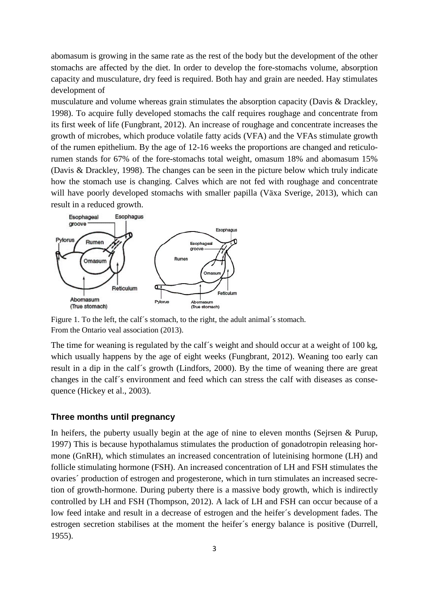abomasum is growing in the same rate as the rest of the body but the development of the other stomachs are affected by the diet. In order to develop the fore-stomachs volume, absorption capacity and musculature, dry feed is required. Both hay and grain are needed. Hay stimulates development of

musculature and volume whereas grain stimulates the absorption capacity (Davis & Drackley, 1998). To acquire fully developed stomachs the calf requires roughage and concentrate from its first week of life (Fungbrant, 2012). An increase of roughage and concentrate increases the growth of microbes, which produce volatile fatty acids (VFA) and the VFAs stimulate growth of the rumen epithelium. By the age of 12-16 weeks the proportions are changed and reticulorumen stands for 67% of the fore-stomachs total weight, omasum 18% and abomasum 15% (Davis & Drackley, 1998). The changes can be seen in the picture below which truly indicate how the stomach use is changing. Calves which are not fed with roughage and concentrate will have poorly developed stomachs with smaller papilla (Växa Sverige, 2013), which can result in a reduced growth.



Figure 1. To the left, the calf´s stomach, to the right, the adult animal´s stomach. From the Ontario veal association (2013).

The time for weaning is regulated by the calf´s weight and should occur at a weight of 100 kg, which usually happens by the age of eight weeks (Fungbrant, 2012). Weaning too early can result in a dip in the calf´s growth (Lindfors, 2000). By the time of weaning there are great changes in the calf´s environment and feed which can stress the calf with diseases as consequence (Hickey et al., 2003).

#### **Three months until pregnancy**

In heifers, the puberty usually begin at the age of nine to eleven months (Sejrsen  $\&$  Purup, 1997) This is because hypothalamus stimulates the production of gonadotropin releasing hormone (GnRH), which stimulates an increased concentration of luteinising hormone (LH) and follicle stimulating hormone (FSH). An increased concentration of LH and FSH stimulates the ovaries´ production of estrogen and progesterone, which in turn stimulates an increased secretion of growth-hormone. During puberty there is a massive body growth, which is indirectly controlled by LH and FSH (Thompson, 2012). A lack of LH and FSH can occur because of a low feed intake and result in a decrease of estrogen and the heifer´s development fades. The estrogen secretion stabilises at the moment the heifer´s energy balance is positive (Durrell, 1955).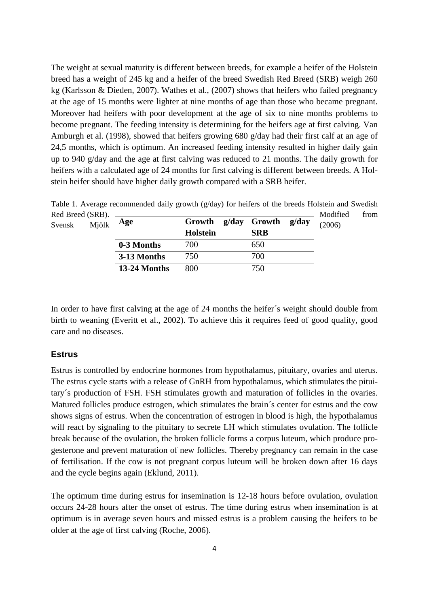The weight at sexual maturity is different between breeds, for example a heifer of the Holstein breed has a weight of 245 kg and a heifer of the breed Swedish Red Breed (SRB) weigh 260 kg (Karlsson & Dieden, 2007). Wathes et al., (2007) shows that heifers who failed pregnancy at the age of 15 months were lighter at nine months of age than those who became pregnant. Moreover had heifers with poor development at the age of six to nine months problems to become pregnant. The feeding intensity is determining for the heifers age at first calving. Van Amburgh et al. (1998), showed that heifers growing 680 g/day had their first calf at an age of 24,5 months, which is optimum. An increased feeding intensity resulted in higher daily gain up to 940 g/day and the age at first calving was reduced to 21 months. The daily growth for heifers with a calculated age of 24 months for first calving is different between breeds. A Holstein heifer should have higher daily growth compared with a SRB heifer.

| Red Breed (SRB). |       |              |                 |  |              |       | Modified |
|------------------|-------|--------------|-----------------|--|--------------|-------|----------|
| Svensk           | Mjölk | Age          | Growth          |  | g/day Growth | g/day | (2006)   |
|                  |       |              | <b>Holstein</b> |  | <b>SRB</b>   |       |          |
|                  |       | 0-3 Months   | 700             |  | 650          |       |          |
|                  |       | 3-13 Months  | 750             |  | 700          |       |          |
|                  |       | 13-24 Months | 800             |  | 750          |       |          |

Table 1. Average recommended daily growth (g/day) for heifers of the breeds Holstein and Swedish Red Breed (SRB). Modified from

In order to have first calving at the age of 24 months the heifer´s weight should double from birth to weaning (Everitt et al., 2002). To achieve this it requires feed of good quality, good care and no diseases.

## **Estrus**

Estrus is controlled by endocrine hormones from hypothalamus, pituitary, ovaries and uterus. The estrus cycle starts with a release of GnRH from hypothalamus, which stimulates the pituitary´s production of FSH. FSH stimulates growth and maturation of follicles in the ovaries. Matured follicles produce estrogen, which stimulates the brain´s center for estrus and the cow shows signs of estrus. When the concentration of estrogen in blood is high, the hypothalamus will react by signaling to the pituitary to secrete LH which stimulates ovulation. The follicle break because of the ovulation, the broken follicle forms a corpus luteum, which produce progesterone and prevent maturation of new follicles. Thereby pregnancy can remain in the case of fertilisation. If the cow is not pregnant corpus luteum will be broken down after 16 days and the cycle begins again (Eklund, 2011).

The optimum time during estrus for insemination is 12-18 hours before ovulation, ovulation occurs 24-28 hours after the onset of estrus. The time during estrus when insemination is at optimum is in average seven hours and missed estrus is a problem causing the heifers to be older at the age of first calving (Roche, 2006).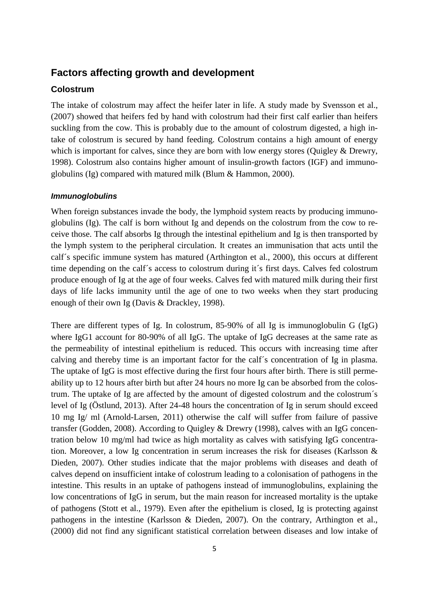# **Factors affecting growth and development**

## **Colostrum**

The intake of colostrum may affect the heifer later in life. A study made by Svensson et al., (2007) showed that heifers fed by hand with colostrum had their first calf earlier than heifers suckling from the cow. This is probably due to the amount of colostrum digested, a high intake of colostrum is secured by hand feeding. Colostrum contains a high amount of energy which is important for calves, since they are born with low energy stores (Quigley & Drewry, 1998). Colostrum also contains higher amount of insulin-growth factors (IGF) and immunoglobulins (Ig) compared with matured milk (Blum & Hammon, 2000).

#### *Immunoglobulins*

When foreign substances invade the body, the lymphoid system reacts by producing immunoglobulins (Ig). The calf is born without Ig and depends on the colostrum from the cow to receive those. The calf absorbs Ig through the intestinal epithelium and Ig is then transported by the lymph system to the peripheral circulation. It creates an immunisation that acts until the calf´s specific immune system has matured (Arthington et al., 2000), this occurs at different time depending on the calf´s access to colostrum during it´s first days. Calves fed colostrum produce enough of Ig at the age of four weeks. Calves fed with matured milk during their first days of life lacks immunity until the age of one to two weeks when they start producing enough of their own Ig (Davis & Drackley, 1998).

There are different types of Ig. In colostrum, 85-90% of all Ig is immunoglobulin G (IgG) where IgG1 account for 80-90% of all IgG. The uptake of IgG decreases at the same rate as the permeability of intestinal epithelium is reduced. This occurs with increasing time after calving and thereby time is an important factor for the calf´s concentration of Ig in plasma. The uptake of IgG is most effective during the first four hours after birth. There is still permeability up to 12 hours after birth but after 24 hours no more Ig can be absorbed from the colostrum. The uptake of Ig are affected by the amount of digested colostrum and the colostrum´s level of Ig (Östlund, 2013). After 24-48 hours the concentration of Ig in serum should exceed 10 mg Ig/ ml (Arnold-Larsen, 2011) otherwise the calf will suffer from failure of passive transfer (Godden, 2008). According to Quigley & Drewry (1998), calves with an IgG concentration below 10 mg/ml had twice as high mortality as calves with satisfying IgG concentration. Moreover, a low Ig concentration in serum increases the risk for diseases (Karlsson & Dieden, 2007). Other studies indicate that the major problems with diseases and death of calves depend on insufficient intake of colostrum leading to a colonisation of pathogens in the intestine. This results in an uptake of pathogens instead of immunoglobulins, explaining the low concentrations of IgG in serum, but the main reason for increased mortality is the uptake of pathogens (Stott et al., 1979). Even after the epithelium is closed, Ig is protecting against pathogens in the intestine (Karlsson & Dieden, 2007). On the contrary, Arthington et al., (2000) did not find any significant statistical correlation between diseases and low intake of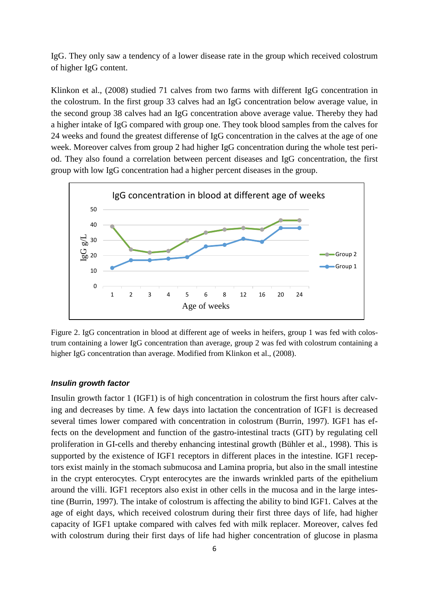IgG. They only saw a tendency of a lower disease rate in the group which received colostrum of higher IgG content.

Klinkon et al., (2008) studied 71 calves from two farms with different IgG concentration in the colostrum. In the first group 33 calves had an IgG concentration below average value, in the second group 38 calves had an IgG concentration above average value. Thereby they had a higher intake of IgG compared with group one. They took blood samples from the calves for 24 weeks and found the greatest differense of IgG concentration in the calves at the age of one week. Moreover calves from group 2 had higher IgG concentration during the whole test period. They also found a correlation between percent diseases and IgG concentration, the first group with low IgG concentration had a higher percent diseases in the group.



Figure 2. IgG concentration in blood at different age of weeks in heifers, group 1 was fed with colostrum containing a lower IgG concentration than average, group 2 was fed with colostrum containing a higher IgG concentration than average. Modified from Klinkon et al., (2008).

## *Insulin growth factor*

Insulin growth factor 1 (IGF1) is of high concentration in colostrum the first hours after calving and decreases by time. A few days into lactation the concentration of IGF1 is decreased several times lower compared with concentration in colostrum (Burrin, 1997). IGF1 has effects on the development and function of the gastro-intestinal tracts (GIT) by regulating cell proliferation in GI-cells and thereby enhancing intestinal growth (Bühler et al., 1998). This is supported by the existence of IGF1 receptors in different places in the intestine. IGF1 receptors exist mainly in the stomach submucosa and Lamina propria, but also in the small intestine in the crypt enterocytes. Crypt enterocytes are the inwards wrinkled parts of the epithelium around the villi. IGF1 receptors also exist in other cells in the mucosa and in the large intestine (Burrin, 1997). The intake of colostrum is affecting the ability to bind IGF1. Calves at the age of eight days, which received colostrum during their first three days of life, had higher capacity of IGF1 uptake compared with calves fed with milk replacer. Moreover, calves fed with colostrum during their first days of life had higher concentration of glucose in plasma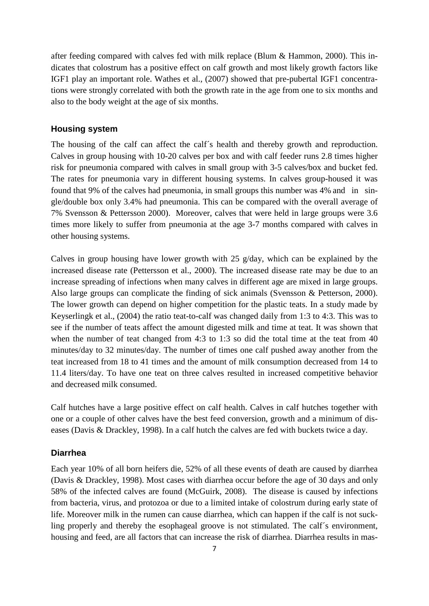after feeding compared with calves fed with milk replace (Blum & Hammon, 2000). This indicates that colostrum has a positive effect on calf growth and most likely growth factors like IGF1 play an important role. Wathes et al., (2007) showed that pre-pubertal IGF1 concentrations were strongly correlated with both the growth rate in the age from one to six months and also to the body weight at the age of six months.

## **Housing system**

The housing of the calf can affect the calf´s health and thereby growth and reproduction. Calves in group housing with 10-20 calves per box and with calf feeder runs 2.8 times higher risk for pneumonia compared with calves in small group with 3-5 calves/box and bucket fed. The rates for pneumonia vary in different housing systems. In calves group-housed it was found that 9% of the calves had pneumonia, in small groups this number was 4% and in single/double box only 3.4% had pneumonia. This can be compared with the overall average of 7% Svensson & Pettersson 2000). Moreover, calves that were held in large groups were 3.6 times more likely to suffer from pneumonia at the age 3-7 months compared with calves in other housing systems.

Calves in group housing have lower growth with 25 g/day, which can be explained by the increased disease rate (Pettersson et al., 2000). The increased disease rate may be due to an increase spreading of infections when many calves in different age are mixed in large groups. Also large groups can complicate the finding of sick animals (Svensson & Petterson, 2000). The lower growth can depend on higher competition for the plastic teats. In a study made by Keyserlingk et al., (2004) the ratio teat-to-calf was changed daily from 1:3 to 4:3. This was to see if the number of teats affect the amount digested milk and time at teat. It was shown that when the number of teat changed from 4:3 to 1:3 so did the total time at the teat from 40 minutes/day to 32 minutes/day. The number of times one calf pushed away another from the teat increased from 18 to 41 times and the amount of milk consumption decreased from 14 to 11.4 liters/day. To have one teat on three calves resulted in increased competitive behavior and decreased milk consumed.

Calf hutches have a large positive effect on calf health. Calves in calf hutches together with one or a couple of other calves have the best feed conversion, growth and a minimum of diseases (Davis & Drackley, 1998). In a calf hutch the calves are fed with buckets twice a day.

## **Diarrhea**

Each year 10% of all born heifers die, 52% of all these events of death are caused by diarrhea (Davis & Drackley, 1998). Most cases with diarrhea occur before the age of 30 days and only 58% of the infected calves are found (McGuirk, 2008). The disease is caused by infections from bacteria, virus, and protozoa or due to a limited intake of colostrum during early state of life. Moreover milk in the rumen can cause diarrhea, which can happen if the calf is not suckling properly and thereby the esophageal groove is not stimulated. The calf´s environment, housing and feed, are all factors that can increase the risk of diarrhea. Diarrhea results in mas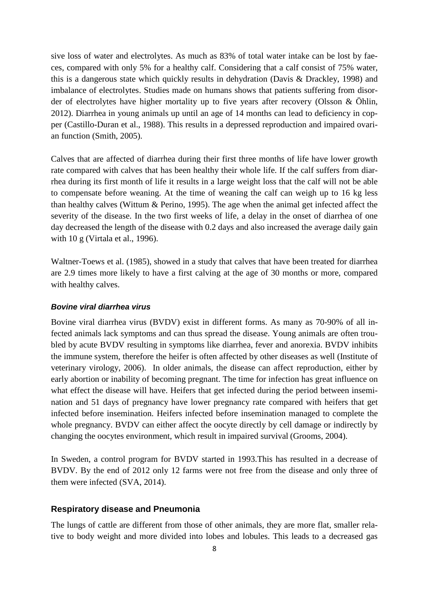sive loss of water and electrolytes. As much as 83% of total water intake can be lost by faeces, compared with only 5% for a healthy calf. Considering that a calf consist of 75% water, this is a dangerous state which quickly results in dehydration (Davis & Drackley, 1998) and imbalance of electrolytes. Studies made on humans shows that patients suffering from disorder of electrolytes have higher mortality up to five years after recovery (Olsson & Öhlin, 2012). Diarrhea in young animals up until an age of 14 months can lead to deficiency in copper (Castillo-Duran et al., 1988). This results in a depressed reproduction and impaired ovarian function (Smith, 2005).

Calves that are affected of diarrhea during their first three months of life have lower growth rate compared with calves that has been healthy their whole life. If the calf suffers from diarrhea during its first month of life it results in a large weight loss that the calf will not be able to compensate before weaning. At the time of weaning the calf can weigh up to 16 kg less than healthy calves (Wittum & Perino, 1995). The age when the animal get infected affect the severity of the disease. In the two first weeks of life, a delay in the onset of diarrhea of one day decreased the length of the disease with 0.2 days and also increased the average daily gain with 10 g (Virtala et al., 1996).

Waltner-Toews et al. (1985), showed in a study that calves that have been treated for diarrhea are 2.9 times more likely to have a first calving at the age of 30 months or more, compared with healthy calves.

#### *Bovine viral diarrhea virus*

Bovine viral diarrhea virus (BVDV) exist in different forms. As many as 70-90% of all infected animals lack symptoms and can thus spread the disease. Young animals are often troubled by acute BVDV resulting in symptoms like diarrhea, fever and anorexia. BVDV inhibits the immune system, therefore the heifer is often affected by other diseases as well (Institute of veterinary virology, 2006). In older animals, the disease can affect reproduction, either by early abortion or inability of becoming pregnant. The time for infection has great influence on what effect the disease will have. Heifers that get infected during the period between insemination and 51 days of pregnancy have lower pregnancy rate compared with heifers that get infected before insemination. Heifers infected before insemination managed to complete the whole pregnancy. BVDV can either affect the oocyte directly by cell damage or indirectly by changing the oocytes environment, which result in impaired survival (Grooms, 2004).

In Sweden, a control program for BVDV started in 1993.This has resulted in a decrease of BVDV. By the end of 2012 only 12 farms were not free from the disease and only three of them were infected (SVA, 2014).

## **Respiratory disease and Pneumonia**

The lungs of cattle are different from those of other animals, they are more flat, smaller relative to body weight and more divided into lobes and lobules. This leads to a decreased gas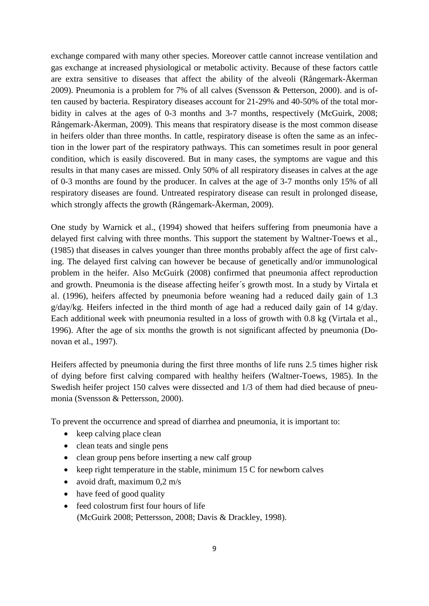exchange compared with many other species. Moreover cattle cannot increase ventilation and gas exchange at increased physiological or metabolic activity. Because of these factors cattle are extra sensitive to diseases that affect the ability of the alveoli (Rångemark-Åkerman 2009). Pneumonia is a problem for 7% of all calves (Svensson & Petterson, 2000). and is often caused by bacteria. Respiratory diseases account for 21-29% and 40-50% of the total morbidity in calves at the ages of 0-3 months and 3-7 months, respectively (McGuirk, 2008; Rångemark-Åkerman, 2009). This means that respiratory disease is the most common disease in heifers older than three months. In cattle, respiratory disease is often the same as an infection in the lower part of the respiratory pathways. This can sometimes result in poor general condition, which is easily discovered. But in many cases, the symptoms are vague and this results in that many cases are missed. Only 50% of all respiratory diseases in calves at the age of 0-3 months are found by the producer. In calves at the age of 3-7 months only 15% of all respiratory diseases are found. Untreated respiratory disease can result in prolonged disease, which strongly affects the growth (Rångemark-Åkerman, 2009).

One study by Warnick et al., (1994) showed that heifers suffering from pneumonia have a delayed first calving with three months. This support the statement by Waltner-Toews et al., (1985) that diseases in calves younger than three months probably affect the age of first calving. The delayed first calving can however be because of genetically and/or immunological problem in the heifer. Also McGuirk (2008) confirmed that pneumonia affect reproduction and growth. Pneumonia is the disease affecting heifer´s growth most. In a study by Virtala et al. (1996), heifers affected by pneumonia before weaning had a reduced daily gain of 1.3 g/day/kg. Heifers infected in the third month of age had a reduced daily gain of 14 g/day. Each additional week with pneumonia resulted in a loss of growth with 0.8 kg (Virtala et al., 1996). After the age of six months the growth is not significant affected by pneumonia (Donovan et al., 1997).

Heifers affected by pneumonia during the first three months of life runs 2.5 times higher risk of dying before first calving compared with healthy heifers (Waltner-Toews, 1985). In the Swedish heifer project 150 calves were dissected and 1/3 of them had died because of pneumonia (Svensson & Pettersson, 2000).

To prevent the occurrence and spread of diarrhea and pneumonia, it is important to:

- keep calving place clean
- clean teats and single pens
- clean group pens before inserting a new calf group
- keep right temperature in the stable, minimum 15 C for newborn calves
- avoid draft, maximum 0,2 m/s
- have feed of good quality
- feed colostrum first four hours of life (McGuirk 2008; Pettersson, 2008; Davis & Drackley, 1998).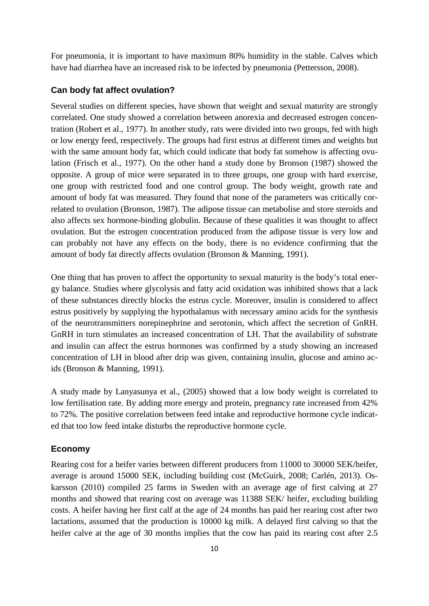For pneumonia, it is important to have maximum 80% humidity in the stable. Calves which have had diarrhea have an increased risk to be infected by pneumonia (Pettersson, 2008).

## **Can body fat affect ovulation?**

Several studies on different species, have shown that weight and sexual maturity are strongly correlated. One study showed a correlation between anorexia and decreased estrogen concentration (Robert et al., 1977). In another study, rats were divided into two groups, fed with high or low energy feed, respectively. The groups had first estrus at different times and weights but with the same amount body fat, which could indicate that body fat somehow is affecting ovulation (Frisch et al., 1977). On the other hand a study done by Bronson (1987) showed the opposite. A group of mice were separated in to three groups, one group with hard exercise, one group with restricted food and one control group. The body weight, growth rate and amount of body fat was measured. They found that none of the parameters was critically correlated to ovulation (Bronson, 1987). The adipose tissue can metabolise and store steroids and also affects sex hormone-binding globulin. Because of these qualities it was thought to affect ovulation. But the estrogen concentration produced from the adipose tissue is very low and can probably not have any effects on the body, there is no evidence confirming that the amount of body fat directly affects ovulation (Bronson & Manning, 1991).

One thing that has proven to affect the opportunity to sexual maturity is the body's total energy balance. Studies where glycolysis and fatty acid oxidation was inhibited shows that a lack of these substances directly blocks the estrus cycle. Moreover, insulin is considered to affect estrus positively by supplying the hypothalamus with necessary amino acids for the synthesis of the neurotransmitters norepinephrine and serotonin, which affect the secretion of GnRH. GnRH in turn stimulates an increased concentration of LH. That the availability of substrate and insulin can affect the estrus hormones was confirmed by a study showing an increased concentration of LH in blood after drip was given, containing insulin, glucose and amino acids (Bronson & Manning, 1991).

A study made by Lanyasunya et al., (2005) showed that a low body weight is correlated to low fertilisation rate. By adding more energy and protein, pregnancy rate increased from 42% to 72%. The positive correlation between feed intake and reproductive hormone cycle indicated that too low feed intake disturbs the reproductive hormone cycle.

## **Economy**

Rearing cost for a heifer varies between different producers from 11000 to 30000 SEK/heifer, average is around 15000 SEK, including building cost (McGuirk, 2008; Carlén, 2013). Oskarsson (2010) compiled 25 farms in Sweden with an average age of first calving at 27 months and showed that rearing cost on average was 11388 SEK/ heifer, excluding building costs. A heifer having her first calf at the age of 24 months has paid her rearing cost after two lactations, assumed that the production is 10000 kg milk. A delayed first calving so that the heifer calve at the age of 30 months implies that the cow has paid its rearing cost after 2.5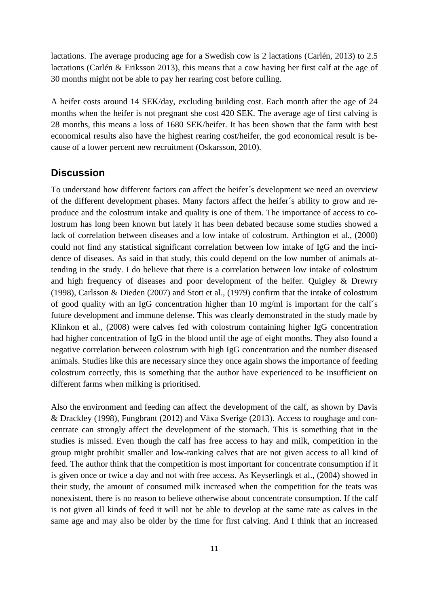lactations. The average producing age for a Swedish cow is 2 lactations (Carlén, 2013) to 2.5 lactations (Carlén & Eriksson 2013), this means that a cow having her first calf at the age of 30 months might not be able to pay her rearing cost before culling.

A heifer costs around 14 SEK/day, excluding building cost. Each month after the age of 24 months when the heifer is not pregnant she cost 420 SEK. The average age of first calving is 28 months, this means a loss of 1680 SEK/heifer. It has been shown that the farm with best economical results also have the highest rearing cost/heifer, the god economical result is because of a lower percent new recruitment (Oskarsson, 2010).

# **Discussion**

To understand how different factors can affect the heifer´s development we need an overview of the different development phases. Many factors affect the heifer´s ability to grow and reproduce and the colostrum intake and quality is one of them. The importance of access to colostrum has long been known but lately it has been debated because some studies showed a lack of correlation between diseases and a low intake of colostrum. Arthington et al., (2000) could not find any statistical significant correlation between low intake of IgG and the incidence of diseases. As said in that study, this could depend on the low number of animals attending in the study. I do believe that there is a correlation between low intake of colostrum and high frequency of diseases and poor development of the heifer. Quigley & Drewry (1998), Carlsson & Dieden (2007) and Stott et al., (1979) confirm that the intake of colostrum of good quality with an IgG concentration higher than 10 mg/ml is important for the calf´s future development and immune defense. This was clearly demonstrated in the study made by Klinkon et al., (2008) were calves fed with colostrum containing higher IgG concentration had higher concentration of IgG in the blood until the age of eight months. They also found a negative correlation between colostrum with high IgG concentration and the number diseased animals. Studies like this are necessary since they once again shows the importance of feeding colostrum correctly, this is something that the author have experienced to be insufficient on different farms when milking is prioritised.

Also the environment and feeding can affect the development of the calf, as shown by Davis & Drackley (1998), Fungbrant (2012) and Växa Sverige (2013). Access to roughage and concentrate can strongly affect the development of the stomach. This is something that in the studies is missed. Even though the calf has free access to hay and milk, competition in the group might prohibit smaller and low-ranking calves that are not given access to all kind of feed. The author think that the competition is most important for concentrate consumption if it is given once or twice a day and not with free access. As Keyserlingk et al., (2004) showed in their study, the amount of consumed milk increased when the competition for the teats was nonexistent, there is no reason to believe otherwise about concentrate consumption. If the calf is not given all kinds of feed it will not be able to develop at the same rate as calves in the same age and may also be older by the time for first calving. And I think that an increased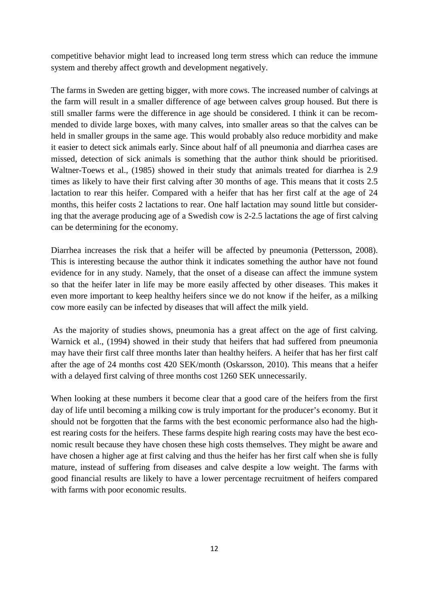competitive behavior might lead to increased long term stress which can reduce the immune system and thereby affect growth and development negatively.

The farms in Sweden are getting bigger, with more cows. The increased number of calvings at the farm will result in a smaller difference of age between calves group housed. But there is still smaller farms were the difference in age should be considered. I think it can be recommended to divide large boxes, with many calves, into smaller areas so that the calves can be held in smaller groups in the same age. This would probably also reduce morbidity and make it easier to detect sick animals early. Since about half of all pneumonia and diarrhea cases are missed, detection of sick animals is something that the author think should be prioritised. Waltner-Toews et al., (1985) showed in their study that animals treated for diarrhea is 2.9 times as likely to have their first calving after 30 months of age. This means that it costs 2.5 lactation to rear this heifer. Compared with a heifer that has her first calf at the age of 24 months, this heifer costs 2 lactations to rear. One half lactation may sound little but considering that the average producing age of a Swedish cow is 2-2.5 lactations the age of first calving can be determining for the economy.

Diarrhea increases the risk that a heifer will be affected by pneumonia (Pettersson, 2008). This is interesting because the author think it indicates something the author have not found evidence for in any study. Namely, that the onset of a disease can affect the immune system so that the heifer later in life may be more easily affected by other diseases. This makes it even more important to keep healthy heifers since we do not know if the heifer, as a milking cow more easily can be infected by diseases that will affect the milk yield.

As the majority of studies shows, pneumonia has a great affect on the age of first calving. Warnick et al., (1994) showed in their study that heifers that had suffered from pneumonia may have their first calf three months later than healthy heifers. A heifer that has her first calf after the age of 24 months cost 420 SEK/month (Oskarsson, 2010). This means that a heifer with a delayed first calving of three months cost 1260 SEK unnecessarily.

When looking at these numbers it become clear that a good care of the heifers from the first day of life until becoming a milking cow is truly important for the producer's economy. But it should not be forgotten that the farms with the best economic performance also had the highest rearing costs for the heifers. These farms despite high rearing costs may have the best economic result because they have chosen these high costs themselves. They might be aware and have chosen a higher age at first calving and thus the heifer has her first calf when she is fully mature, instead of suffering from diseases and calve despite a low weight. The farms with good financial results are likely to have a lower percentage recruitment of heifers compared with farms with poor economic results.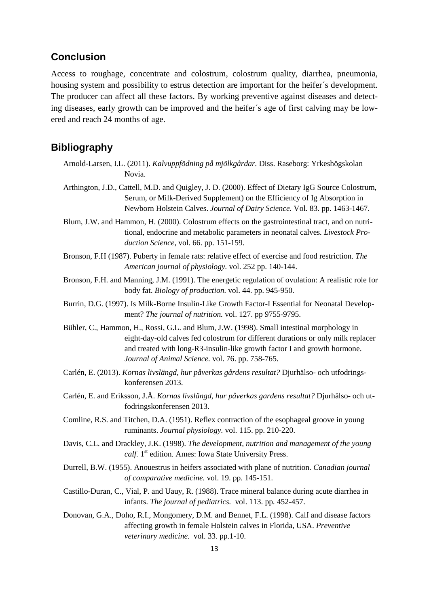# **Conclusion**

Access to roughage, concentrate and colostrum, colostrum quality, diarrhea, pneumonia, housing system and possibility to estrus detection are important for the heifer´s development. The producer can affect all these factors. By working preventive against diseases and detecting diseases, early growth can be improved and the heifer´s age of first calving may be lowered and reach 24 months of age.

# **Bibliography**

- Arnold-Larsen, I.L. (2011). *Kalvuppfödning på mjölkgårdar.* Diss. Raseborg: Yrkeshögskolan Novia.
- Arthington, J.D., Cattell, M.D. and Quigley, J. D. (2000). Effect of Dietary IgG Source Colostrum, Serum, or Milk-Derived Supplement) on the Efficiency of Ig Absorption in Newborn Holstein Calves. *Journal of Dairy Science.* Vol. 83. pp. 1463-1467.
- Blum, J.W. and Hammon, H. (2000). Colostrum effects on the gastrointestinal tract, and on nutritional, endocrine and metabolic parameters in neonatal calves*. Livestock Production Science,* vol. 66. pp. 151-159.
- Bronson, F.H (1987). Puberty in female rats: relative effect of exercise and food restriction. *The American journal of physiology.* vol. 252 pp. 140-144.
- Bronson, F.H. and Manning, J.M. (1991). The energetic regulation of ovulation: A realistic role for body fat. *Biology of production.* vol. 44. pp. 945-950.
- Burrin, D.G. (1997). Is Milk-Borne Insulin-Like Growth Factor-I Essential for Neonatal Development? *The journal of nutrition.* vol. 127. pp 9755-9795.
- Bühler, C., Hammon, H., Rossi, G.L. and Blum, J.W. (1998). Small intestinal morphology in eight-day-old calves fed colostrum for different durations or only milk replacer and treated with long-R3-insulin-like growth factor I and growth hormone. *Journal of Animal Science.* vol. 76. pp. 758-765.
- Carlén, E. (2013). *Kornas livslängd, hur påverkas gårdens resultat?* Djurhälso- och utfodringskonferensen 2013.
- Carlén, E. and Eriksson, J.Å. *Kornas livslängd, hur påverkas gardens resultat?* Djurhälso- och utfodringskonferensen 2013.
- Comline, R.S. and Titchen, D.A. (1951). Reflex contraction of the esophageal groove in young ruminants. *Journal physiology.* vol. 115. pp. 210-220.
- Davis, C.L. and Drackley, J.K. (1998). *The development, nutrition and management of the young calf.* 1<sup>st</sup> edition. Ames: Iowa State University Press.
- Durrell, B.W. (1955). Anouestrus in heifers associated with plane of nutrition. *Canadian journal of comparative medicine.* vol. 19. pp. 145-151.
- Castillo-Duran, C., Vial, P. and Uauy, R. (1988). Trace mineral balance during acute diarrhea in infants. *The journal of pediatrics.* vol. 113. pp. 452-457.
- Donovan, G.A., Doho, R.I., Mongomery, D.M. and Bennet, F.L. (1998). Calf and disease factors affecting growth in female Holstein calves in Florida, USA. *Preventive veterinary medicine.* vol. 33. pp.1-10.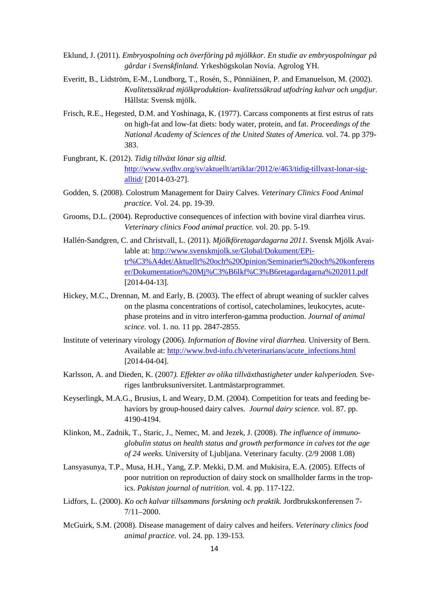- Eklund, J. (2011). *Embryospolning och överföring på mjölkkor. En studie av embryospolningar på gårdar i Svenskfinland.* Yrkeshögskolan Novia. Agrolog YH.
- Everitt, B., Lidström, E-M., Lundborg, T., Rosén, S., Pönniäinen, P. and Emanuelson, M. (2002). *Kvalitetssäkrad mjölkproduktion- kvalitetssäkrad utfodring kalvar och ungdjur.*  Hållsta: Svensk mjölk.
- Frisch, R.E., Hegested, D.M. and Yoshinaga, K. (1977). Carcass components at first estrus of rats on high-fat and low-fat diets: body water, protein, and fat. *Proceedings of the National Academy of Sciences of the United States of America.* vol. 74. pp 379- 383.
- Fungbrant, K. (2012). *Tidig tillväxt lönar sig alltid.*  [http://www.svdhv.org/sv/aktuellt/artiklar/2012/e/463/tidig-tillvaxt-lonar-sig](http://www.svdhv.org/sv/aktuellt/artiklar/2012/e/463/tidig-tillvaxt-lonar-sig-alltid/)[alltid/](http://www.svdhv.org/sv/aktuellt/artiklar/2012/e/463/tidig-tillvaxt-lonar-sig-alltid/) [2014-03-27].
- Godden, S. (2008). Colostrum Management for Dairy Calves. *Veterinary Clinics Food Animal practice.* Vol. 24. pp. 19-39.
- Grooms, D.L. (2004). Reproductive consequences of infection with bovine viral diarrhea virus. *Veterinary clinics Food animal practice.* vol. 20. pp. 5-19.
- Hallén-Sandgren, C. and Christvall, L. (2011). *Mjölkföretagardagarna 2011.* Svensk Mjölk Available at: [http://www.svenskmjolk.se/Global/Dokument/EPi](http://www.svenskmjolk.se/Global/Dokument/EPi-tr%C3%A4det/Aktuellt%20och%20Opinion/Seminarier%20och%20konferenser/Dokumentation%20Mj%C3%B6lkf%C3%B6retagardagarna%202011.pdf)[tr%C3%A4det/Aktuellt%20och%20Opinion/Seminarier%20och%20konferens](http://www.svenskmjolk.se/Global/Dokument/EPi-tr%C3%A4det/Aktuellt%20och%20Opinion/Seminarier%20och%20konferenser/Dokumentation%20Mj%C3%B6lkf%C3%B6retagardagarna%202011.pdf) [er/Dokumentation%20Mj%C3%B6lkf%C3%B6retagardagarna%202011.pdf](http://www.svenskmjolk.se/Global/Dokument/EPi-tr%C3%A4det/Aktuellt%20och%20Opinion/Seminarier%20och%20konferenser/Dokumentation%20Mj%C3%B6lkf%C3%B6retagardagarna%202011.pdf) [2014-04-13].
- Hickey, M.C., Drennan, M. and Early, B. (2003). The effect of abrupt weaning of suckler calves on the plasma concentrations of cortisol, catecholamines, leukocytes, acutephase proteins and in vitro interferon-gamma production. *Journal of animal scince.* vol. 1. no. 11 pp. 2847-2855.
- Institute of veterinary virology (2006). *Information of Bovine viral diarrhea.* University of Bern. Available at: [http://www.bvd-info.ch/veterinarians/acute\\_infections.html](http://www.bvd-info.ch/veterinarians/acute_infections.html) [2014-04-04].
- Karlsson, A. and Dieden, K. (2007*). Effekter av olika tillväxthastigheter under kalvperioden.* Sveriges lantbruksuniversitet. Lantmästarprogrammet.
- Keyserlingk, M.A.G., Brusius, L and Weary, D.M. (2004). Competition for teats and feeding behaviors by group-housed dairy calves. *Journal dairy science.* vol. 87. pp. 4190-4194.
- Klinkon, M., Zadnik, T., Staric, J., Nemec, M. and Jezek, J. (2008). *The influence of immunoglobulin status on health status and growth performance in calves tot the age of 24 weeks.* University of Ljubljana. Veterinary faculty. (2/9 2008 1.08)
- Lansyasunya, T.P., Musa, H.H., Yang, Z.P. Mekki, D.M. and Mukisira, E.A. (2005). Effects of poor nutrition on reproduction of dairy stock on smallholder farms in the tropics. *Pakistan journal of nutrition.* vol. 4. pp. 117-122.
- Lidfors, L. (2000). *Ko och kalvar tillsammans forskning och praktik.* Jordbrukskonferensen 7- 7/11–2000.
- McGuirk, S.M. (2008). Disease management of dairy calves and heifers. *Veterinary clinics food animal practice.* vol. 24. pp. 139-153.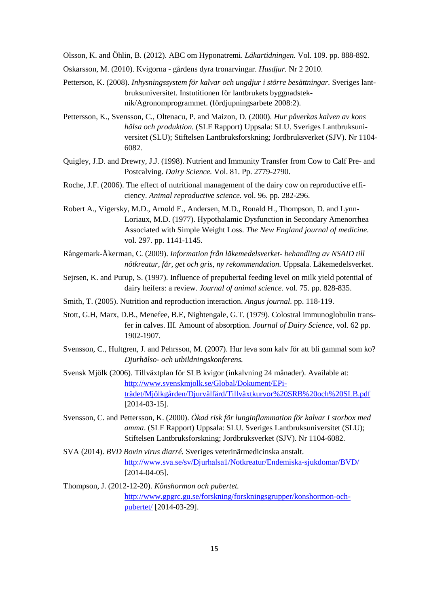Olsson, K. and Öhlin, B. (2012). ABC om Hyponatremi. *Läkartidningen.* Vol. 109. pp. 888-892.

- Oskarsson, M. (2010). Kvigorna gårdens dyra tronarvingar. *Husdjur.* Nr 2 2010.
- Petterson, K. (2008). *Inhysningssystem för kalvar och ungdjur i större besättningar.* Sveriges lantbruksuniversitet. Instutitionen för lantbrukets byggnadsteknik/Agronomprogrammet. (fördjupningsarbete 2008:2).
- Pettersson, K., Svensson, C., Oltenacu, P. and Maizon, D. (2000). *Hur påverkas kalven av kons hälsa och produktion.* (SLF Rapport) Uppsala: SLU. Sveriges Lantbruksuniversitet (SLU); Stiftelsen Lantbruksforskning; Jordbruksverket (SJV). Nr 1104- 6082.
- Quigley, J.D. and Drewry, J.J. (1998). Nutrient and Immunity Transfer from Cow to Calf Pre- and Postcalving. *Dairy Science.* Vol. 81. Pp. 2779-2790.
- Roche, J.F. (2006). The effect of nutritional management of the dairy cow on reproductive efficiency. *Animal reproductive science.* vol. 96. pp. 282-296.
- Robert A., Vigersky, M.D., Arnold E., Andersen, M.D., Ronald H., Thompson, D. and Lynn-Loriaux, M.D. (1977). Hypothalamic Dysfunction in Secondary Amenorrhea Associated with Simple Weight Loss. *The New England journal of medicine.*  vol. 297. pp. 1141-1145.
- Rångemark-Åkerman, C. (2009). *Information från läkemedelsverket- behandling av NSAID till nötkreatur, får, get och gris, ny rekommendation.* Uppsala. Läkemedelsverket.
- Sejrsen, K. and Purup, S. (1997). Influence of prepubertal feeding level on milk yield potential of dairy heifers: a review. *Journal of animal science.* vol. 75. pp. 828-835.
- Smith, T. (2005). Nutrition and reproduction interaction. *Angus journal.* pp. 118-119.
- Stott, G.H, Marx, D.B., Menefee, B.E, Nightengale, G.T. (1979). Colostral immunoglobulin transfer in calves. III. Amount of absorption. *Journal of Dairy Science*, vol. 62 pp. 1902-1907.
- Svensson, C., Hultgren, J. and Pehrsson, M. (2007). Hur leva som kalv för att bli gammal som ko? *Djurhälso- och utbildningskonferens.*
- Svensk Mjölk (2006). Tillväxtplan för SLB kvigor (inkalvning 24 månader). Available at: [http://www.svenskmjolk.se/Global/Dokument/EPi](http://www.svenskmjolk.se/Global/Dokument/EPi-tr%C3%A4det/Mj%C3%B6lkg%C3%A5rden/Djurv%C3%A4lf%C3%A4rd/Tillv%C3%A4xtkurvor%20SRB%20och%20SLB.pdf)[trädet/Mjölkgården/Djurvälfärd/Tillväxtkurvor%20SRB%20och%20SLB.pdf](http://www.svenskmjolk.se/Global/Dokument/EPi-tr%C3%A4det/Mj%C3%B6lkg%C3%A5rden/Djurv%C3%A4lf%C3%A4rd/Tillv%C3%A4xtkurvor%20SRB%20och%20SLB.pdf) [2014-03-15].
- Svensson, C. and Pettersson, K. (2000). *Ökad risk för lunginflammation för kalvar I storbox med amma*. (SLF Rapport) Uppsala: SLU. Sveriges Lantbruksuniversitet (SLU); Stiftelsen Lantbruksforskning; Jordbruksverket (SJV). Nr 1104-6082.
- SVA (2014). *BVD Bovin virus diarré.* Sveriges veterinärmedicinska anstalt. <http://www.sva.se/sv/Djurhalsa1/Notkreatur/Endemiska-sjukdomar/BVD/> [2014-04-05].
- Thompson, J. (2012-12-20). *Könshormon och pubertet.*  [http://www.gpgrc.gu.se/forskning/forskningsgrupper/konshormon-och](http://www.gpgrc.gu.se/forskning/forskningsgrupper/konshormon-och-pubertet/)[pubertet/](http://www.gpgrc.gu.se/forskning/forskningsgrupper/konshormon-och-pubertet/) [2014-03-29].